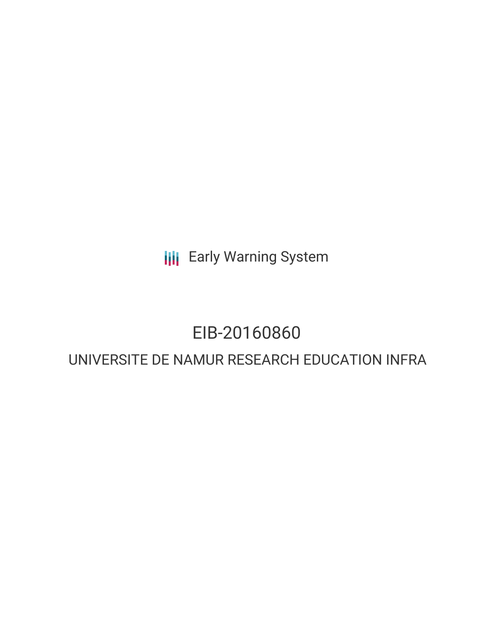**III** Early Warning System

## EIB-20160860

### UNIVERSITE DE NAMUR RESEARCH EDUCATION INFRA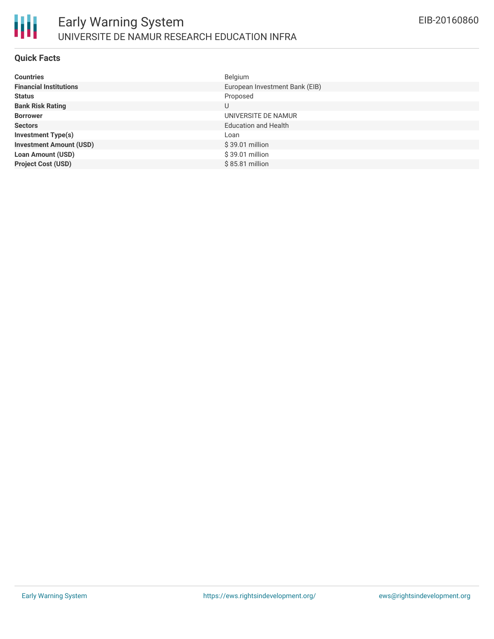

### **Quick Facts**

| <b>Countries</b>               | Belgium                        |
|--------------------------------|--------------------------------|
| <b>Financial Institutions</b>  | European Investment Bank (EIB) |
| <b>Status</b>                  | Proposed                       |
| <b>Bank Risk Rating</b>        | U                              |
| <b>Borrower</b>                | UNIVERSITE DE NAMUR            |
| <b>Sectors</b>                 | <b>Education and Health</b>    |
| <b>Investment Type(s)</b>      | Loan                           |
| <b>Investment Amount (USD)</b> | $$39.01$ million               |
| <b>Loan Amount (USD)</b>       | \$39.01 million                |
| <b>Project Cost (USD)</b>      | \$85.81 million                |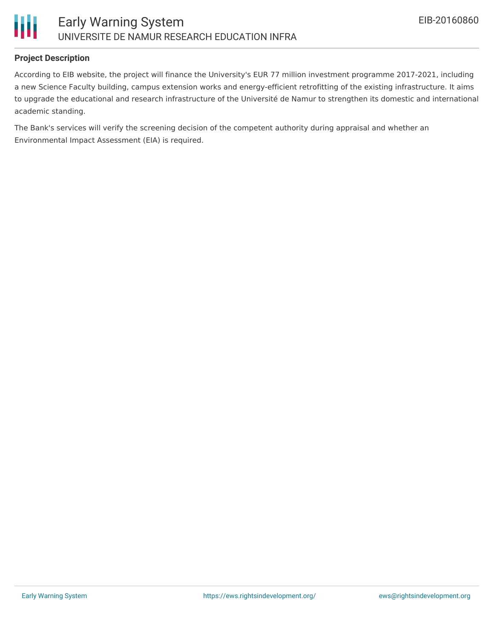

### **Project Description**

According to EIB website, the project will finance the University's EUR 77 million investment programme 2017-2021, including a new Science Faculty building, campus extension works and energy-efficient retrofitting of the existing infrastructure. It aims to upgrade the educational and research infrastructure of the Université de Namur to strengthen its domestic and international academic standing.

The Bank's services will verify the screening decision of the competent authority during appraisal and whether an Environmental Impact Assessment (EIA) is required.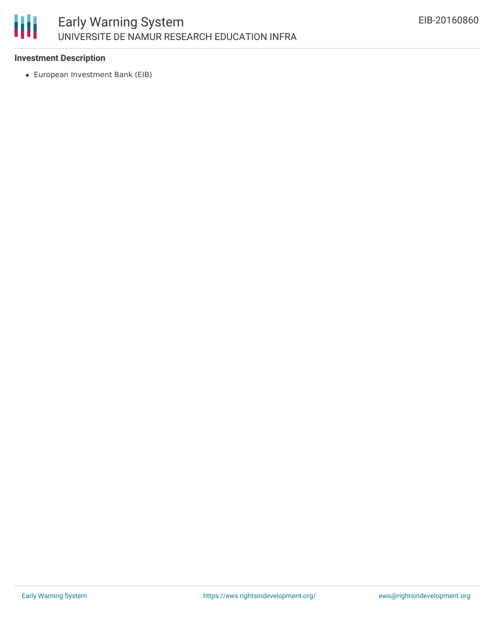# 朋

### **Investment Description**

European Investment Bank (EIB)